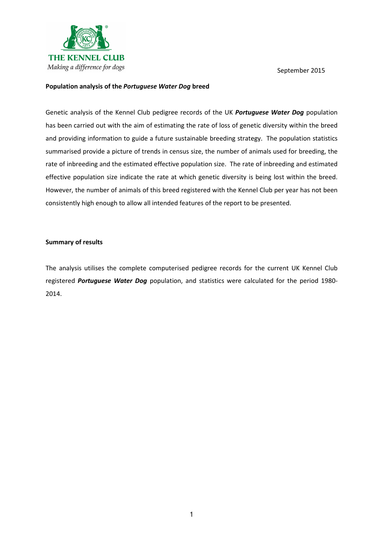

### Population analysis of the Portuguese Water Dog breed

Genetic analysis of the Kennel Club pedigree records of the UK Portuguese Water Dog population has been carried out with the aim of estimating the rate of loss of genetic diversity within the breed and providing information to guide a future sustainable breeding strategy. The population statistics summarised provide a picture of trends in census size, the number of animals used for breeding, the rate of inbreeding and the estimated effective population size. The rate of inbreeding and estimated effective population size indicate the rate at which genetic diversity is being lost within the breed. However, the number of animals of this breed registered with the Kennel Club per year has not been consistently high enough to allow all intended features of the report to be presented.

#### Summary of results

The analysis utilises the complete computerised pedigree records for the current UK Kennel Club registered Portuguese Water Dog population, and statistics were calculated for the period 1980-2014.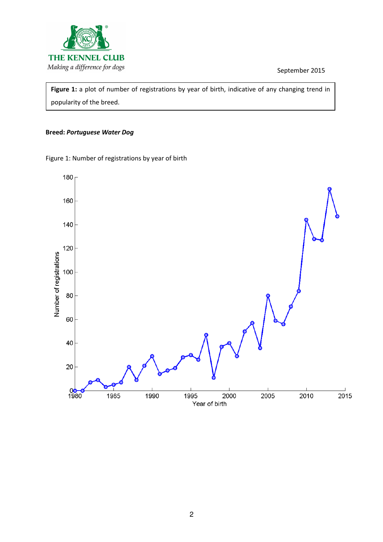

Figure 1: a plot of number of registrations by year of birth, indicative of any changing trend in popularity of the breed.

## Breed: Portuguese Water Dog

Figure 1: Number of registrations by year of birth

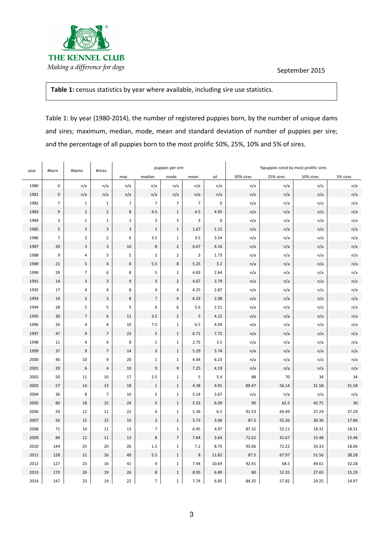

# Table 1: census statistics by year where available, including sire use statistics.

Table 1: by year (1980-2014), the number of registered puppies born, by the number of unique dams and sires; maximum, median, mode, mean and standard deviation of number of puppies per sire; and the percentage of all puppies born to the most prolific 50%, 25%, 10% and 5% of sires.

| year | #born          | #dams                   | #sires         | puppies per sire |                  |                          |                |           | %puppies sired by most prolific sires |           |           |          |
|------|----------------|-------------------------|----------------|------------------|------------------|--------------------------|----------------|-----------|---------------------------------------|-----------|-----------|----------|
|      |                |                         |                | max              | median           | mode                     | mean           | sd        | 50% sires                             | 25% sires | 10% sires | 5% sires |
| 1980 | $\pmb{0}$      | n/a                     | n/a            | n/a              | n/a              | n/a                      | n/a            | n/a       | n/a                                   | n/a       | n/a       | n/a      |
| 1981 | $\pmb{0}$      | n/a                     | n/a            | n/a              | n/a              | n/a                      | n/a            | n/a       | n/a                                   | n/a       | n/a       | n/a      |
| 1982 | $\overline{7}$ | $1\,$                   | $\mathbf{1}$   | $\overline{7}$   | $\overline{7}$   | $\overline{7}$           | $\overline{7}$ | $\pmb{0}$ | n/a                                   | n/a       | n/a       | n/a      |
| 1983 | $\mathsf 9$    | $\mathbf 2$             | $\overline{2}$ | $\,$ 8 $\,$      | 4.5              | $\mathbf{1}$             | 4.5            | 4.95      | n/a                                   | n/a       | n/a       | n/a      |
| 1984 | 3              | $\mathbf 1$             | $\mathbf{1}$   | 3                | $\mathsf 3$      | 3                        | 3              | $\pmb{0}$ | n/a                                   | n/a       | n/a       | n/a      |
| 1985 | 5              | $\mathsf 3$             | $\overline{3}$ | $\mathsf 3$      | $\,1\,$          | $\mathbf{1}$             | 1.67           | $1.15\,$  | n/a                                   | n/a       | n/a       | n/a      |
| 1986 | $\overline{7}$ | $\overline{2}$          | $\overline{2}$ | 6                | 3.5              | $\mathbf{1}$             | 3.5            | 3.54      | n/a                                   | n/a       | n/a       | n/a      |
| 1987 | 20             | $\mathsf 3$             | 3              | $10\,$           | $\,$ 8 $\,$      | $\overline{2}$           | 6.67           | 4.16      | n/a                                   | n/a       | n/a       | n/a      |
| 1988 | 9              | $\sqrt{4}$              | $\mathsf 3$    | 5                | $\mathbf 2$      | $\overline{2}$           | 3              | 1.73      | n/a                                   | n/a       | n/a       | n/a      |
| 1989 | 21             | 5                       | $\sqrt{4}$     | 8                | $5.5\,$          | $\bf 8$                  | 5.25           | 3.2       | n/a                                   | n/a       | n/a       | n/a      |
| 1990 | 29             | $\overline{7}$          | 6              | 8                | 5                | $\mathbf{1}$             | 4.83           | 2.64      | n/a                                   | n/a       | n/a       | n/a      |
| 1991 | 14             | $\overline{\mathbf{3}}$ | 3              | 9                | $\mathsf 3$      | $\overline{2}$           | 4.67           | 3.79      | n/a                                   | n/a       | n/a       | n/a      |
| 1992 | 17             | $\overline{4}$          | 4              | 8                | $\pmb{4}$        | 4                        | 4.25           | 2.87      | n/a                                   | n/a       | n/a       | n/a      |
| 1993 | 19             | $\mathsf 3$             | $\overline{3}$ | $\,$ 8 $\,$      | $\overline{7}$   | $\overline{4}$           | 6.33           | 2.08      | n/a                                   | n/a       | n/a       | n/a      |
| 1994 | 28             | 5                       | 5              | 9                | 6                | 6                        | 5.6            | 2.51      | n/a                                   | n/a       | n/a       | n/a      |
| 1995 | 30             | $\sqrt{7}$              | 6              | 11               | 3.5              | $\overline{2}$           | 5              | 4.15      | n/a                                   | n/a       | n/a       | n/a      |
| 1996 | 26             | $\overline{4}$          | 4              | 10               | $7.5$            | $\mathbf 1$              | 6.5            | 4.04      | n/a                                   | n/a       | n/a       | n/a      |
| 1997 | 47             | 9                       | $\overline{7}$ | 23               | $\sf 5$          | $\mathbf{1}$             | 6.71           | 7.72      | n/a                                   | n/a       | n/a       | n/a      |
| 1998 | 11             | 4                       | 4              | 8                | $\mathbf 1$      | $\mathbf{1}$             | 2.75           | 3.5       | n/a                                   | n/a       | n/a       | n/a      |
| 1999 | 37             | $\boldsymbol{9}$        | $\overline{7}$ | 14               | $\mathsf 3$      | $\mathbf{1}$             | 5.29           | 5.74      | n/a                                   | n/a       | n/a       | n/a      |
| 2000 | 40             | 10                      | 9              | 20               | $\mathbf 1$      | $\mathbf 1$              | 4.44           | 6.23      | n/a                                   | n/a       | n/a       | n/a      |
| 2001 | 29             | $\boldsymbol{6}$        | $\sqrt{4}$     | 10               | $\boldsymbol{9}$ | 9                        | 7.25           | 4.19      | n/a                                   | n/a       | n/a       | n/a      |
| 2002 | 50             | 11                      | 10             | 17               | 2.5              | $\mathbf 1$              | 5              | 5.4       | 88                                    | 70        | 34        | 34       |
| 2003 | 57             | 14                      | 13             | 18               | $\,1\,$          | $\,1\,$                  | 4.38           | 4.91      | 89.47                                 | 56.14     | 31.58     | 31.58    |
| 2004 | 36             | 8                       | $\overline{7}$ | 10               | 5                | $\mathbf 1$              | 5.14           | 3.67      | n/a                                   | n/a       | n/a       | n/a      |
| 2005 | 80             | 18                      | 15             | 24               | $\sf 5$          | $\,1\,$                  | 5.33           | 6.09      | 90                                    | 62.5      | 43.75     | 30       |
| 2006 | 59             | 12                      | 11             | 22               | 4                | $\mathbf 1$              | 5.36           | 6.5       | 91.53                                 | 69.49     | 37.29     | 37.29    |
| 2007 | 56             | 15                      | 15             | 10               | $\overline{3}$   | $\mathbf{1}$             | 3.73           | 3.06      | 87.5                                  | 55.36     | 30.36     | 17.86    |
| 2008 | 71             | 14                      | 11             | 13               | $\overline{7}$   | $\mathbf 1$              | 6.45           | 4.97      | 87.32                                 | 52.11     | 18.31     | 18.31    |
| 2009 | 84             | 12                      | 11             | 13               | $\,$ 8 $\,$      | $\overline{\phantom{a}}$ | 7.64           | 3.64      | 72.62                                 | 41.67     | 15.48     | 15.48    |
| 2010 | 144            | 25                      | 20             | 26               | 1.5              | $\mathbf 1$              | 7.2            | 8.75      | 93.06                                 | 72.22     | 33.33     | 18.06    |
| 2011 | 128            | 21                      | 16             | 49               | 5.5              | $\,1\,$                  | 8              | 11.82     | 87.5                                  | 67.97     | 51.56     | 38.28    |
| 2012 | 127            | 23                      | 16             | 41               | $\sqrt{4}$       | $\mathbf 1$              | 7.94           | 10.69     | 92.91                                 | 68.5      | 49.61     | 32.28    |
| 2013 | 170            | 26                      | 19             | 26               | $\bf 8$          | $\mathbf{1}$             | 8.95           | 6.89      | 80                                    | 52.35     | 27.65     | 15.29    |
| 2014 | 147            | 23                      | 19             | 22               | $\overline{7}$   | $\mathbf{1}$             | 7.74           | 6.85      | 84.35                                 | 57.82     | 29.25     | 14.97    |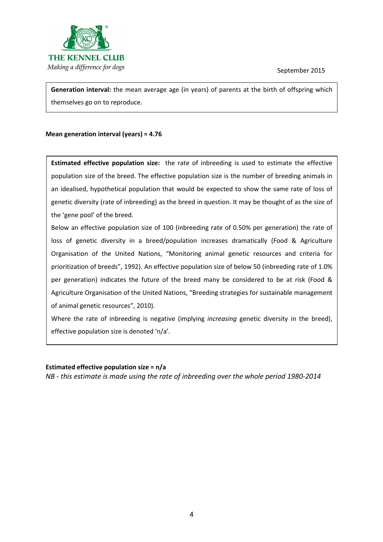

Generation interval: the mean average age (in years) of parents at the birth of offspring which themselves go on to reproduce.

# Mean generation interval (years) = 4.76

Estimated effective population size: the rate of inbreeding is used to estimate the effective population size of the breed. The effective population size is the number of breeding animals in an idealised, hypothetical population that would be expected to show the same rate of loss of genetic diversity (rate of inbreeding) as the breed in question. It may be thought of as the size of the 'gene pool' of the breed.

Below an effective population size of 100 (inbreeding rate of 0.50% per generation) the rate of loss of genetic diversity in a breed/population increases dramatically (Food & Agriculture Organisation of the United Nations, "Monitoring animal genetic resources and criteria for prioritization of breeds", 1992). An effective population size of below 50 (inbreeding rate of 1.0% per generation) indicates the future of the breed many be considered to be at risk (Food & Agriculture Organisation of the United Nations, "Breeding strategies for sustainable management of animal genetic resources", 2010).

Where the rate of inbreeding is negative (implying *increasing* genetic diversity in the breed), effective population size is denoted 'n/a'.

### Estimated effective population size = n/a

NB - this estimate is made using the rate of inbreeding over the whole period 1980-2014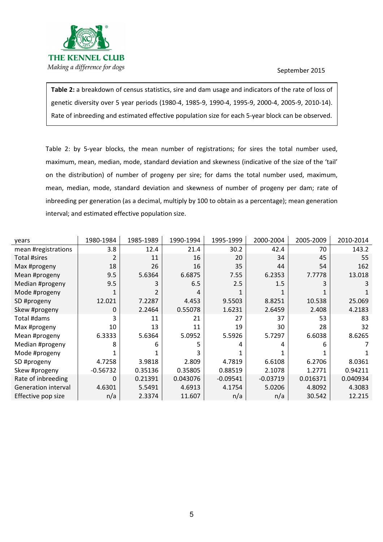

Table 2: a breakdown of census statistics, sire and dam usage and indicators of the rate of loss of genetic diversity over 5 year periods (1980-4, 1985-9, 1990-4, 1995-9, 2000-4, 2005-9, 2010-14). Rate of inbreeding and estimated effective population size for each 5-year block can be observed.

Table 2: by 5-year blocks, the mean number of registrations; for sires the total number used, maximum, mean, median, mode, standard deviation and skewness (indicative of the size of the 'tail' on the distribution) of number of progeny per sire; for dams the total number used, maximum, mean, median, mode, standard deviation and skewness of number of progeny per dam; rate of inbreeding per generation (as a decimal, multiply by 100 to obtain as a percentage); mean generation interval; and estimated effective population size.

| years               | 1980-1984  | 1985-1989 | 1990-1994 | 1995-1999  | 2000-2004  | 2005-2009 | 2010-2014 |
|---------------------|------------|-----------|-----------|------------|------------|-----------|-----------|
| mean #registrations | 3.8        | 12.4      | 21.4      | 30.2       | 42.4       | 70        | 143.2     |
| Total #sires        | 2          | 11        | 16        | 20         | 34         | 45        | 55        |
| Max #progeny        | 18         | 26        | 16        | 35         | 44         | 54        | 162       |
| Mean #progeny       | 9.5        | 5.6364    | 6.6875    | 7.55       | 6.2353     | 7.7778    | 13.018    |
| Median #progeny     | 9.5        | 3         | 6.5       | 2.5        | 1.5        |           |           |
| Mode #progeny       |            | 2         |           |            |            |           |           |
| SD #progeny         | 12.021     | 7.2287    | 4.453     | 9.5503     | 8.8251     | 10.538    | 25.069    |
| Skew #progeny       | 0          | 2.2464    | 0.55078   | 1.6231     | 2.6459     | 2.408     | 4.2183    |
| Total #dams         |            | 11        | 21        | 27         | 37         | 53        | 83        |
| Max #progeny        | 10         | 13        | 11        | 19         | 30         | 28        | 32        |
| Mean #progeny       | 6.3333     | 5.6364    | 5.0952    | 5.5926     | 5.7297     | 6.6038    | 8.6265    |
| Median #progeny     | 8          | 6         | 5         |            |            | 6         |           |
| Mode #progeny       |            |           |           |            |            |           |           |
| SD #progeny         | 4.7258     | 3.9818    | 2.809     | 4.7819     | 6.6108     | 6.2706    | 8.0361    |
| Skew #progeny       | $-0.56732$ | 0.35136   | 0.35805   | 0.88519    | 2.1078     | 1.2771    | 0.94211   |
| Rate of inbreeding  | 0          | 0.21391   | 0.043076  | $-0.09541$ | $-0.03719$ | 0.016371  | 0.040934  |
| Generation interval | 4.6301     | 5.5491    | 4.6913    | 4.1754     | 5.0206     | 4.8092    | 4.3083    |
| Effective pop size  | n/a        | 2.3374    | 11.607    | n/a        | n/a        | 30.542    | 12.215    |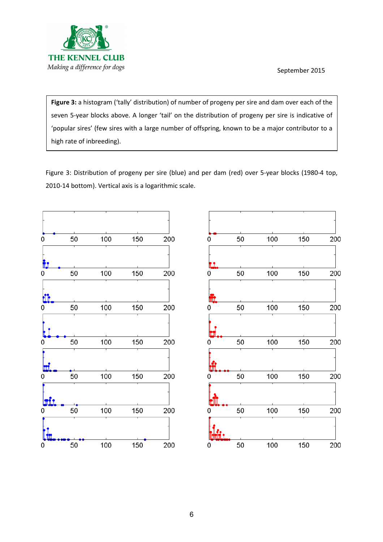

Figure 3: a histogram ('tally' distribution) of number of progeny per sire and dam over each of the seven 5-year blocks above. A longer 'tail' on the distribution of progeny per sire is indicative of 'popular sires' (few sires with a large number of offspring, known to be a major contributor to a high rate of inbreeding).

Figure 3: Distribution of progeny per sire (blue) and per dam (red) over 5-year blocks (1980-4 top, 2010-14 bottom). Vertical axis is a logarithmic scale.